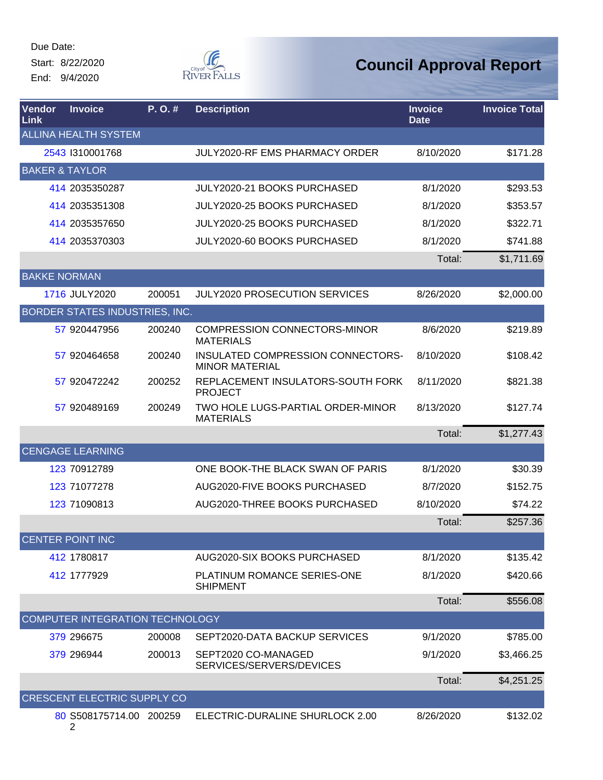Start: 8/22/2020 End: 9/4/2020



| Vendor<br>Link      | <b>Invoice</b>                     | P.O.#  | <b>Description</b>                                         | <b>Invoice</b><br><b>Date</b> | <b>Invoice Total</b> |
|---------------------|------------------------------------|--------|------------------------------------------------------------|-------------------------------|----------------------|
|                     | <b>ALLINA HEALTH SYSTEM</b>        |        |                                                            |                               |                      |
|                     | 2543 1310001768                    |        | <b>JULY2020-RF EMS PHARMACY ORDER</b>                      | 8/10/2020                     | \$171.28             |
|                     | <b>BAKER &amp; TAYLOR</b>          |        |                                                            |                               |                      |
|                     | 414 2035350287                     |        | <b>JULY2020-21 BOOKS PURCHASED</b>                         | 8/1/2020                      | \$293.53             |
|                     | 414 2035351308                     |        | JULY2020-25 BOOKS PURCHASED                                | 8/1/2020                      | \$353.57             |
|                     | 414 2035357650                     |        | JULY2020-25 BOOKS PURCHASED                                | 8/1/2020                      | \$322.71             |
|                     | 414 2035370303                     |        | JULY2020-60 BOOKS PURCHASED                                | 8/1/2020                      | \$741.88             |
|                     |                                    |        |                                                            | Total:                        | \$1,711.69           |
| <b>BAKKE NORMAN</b> |                                    |        |                                                            |                               |                      |
|                     | 1716 JULY2020                      | 200051 | <b>JULY2020 PROSECUTION SERVICES</b>                       | 8/26/2020                     | \$2,000.00           |
|                     | BORDER STATES INDUSTRIES, INC.     |        |                                                            |                               |                      |
|                     | 57 920447956                       | 200240 | <b>COMPRESSION CONNECTORS-MINOR</b><br><b>MATERIALS</b>    | 8/6/2020                      | \$219.89             |
|                     | 57 920464658                       | 200240 | INSULATED COMPRESSION CONNECTORS-<br><b>MINOR MATERIAL</b> | 8/10/2020                     | \$108.42             |
|                     | 57 920472242                       | 200252 | REPLACEMENT INSULATORS-SOUTH FORK<br><b>PROJECT</b>        | 8/11/2020                     | \$821.38             |
|                     | 57 920489169                       | 200249 | TWO HOLE LUGS-PARTIAL ORDER-MINOR<br><b>MATERIALS</b>      | 8/13/2020                     | \$127.74             |
|                     |                                    |        |                                                            | Total:                        | \$1,277.43           |
|                     | <b>CENGAGE LEARNING</b>            |        |                                                            |                               |                      |
|                     | 123 70912789                       |        | ONE BOOK-THE BLACK SWAN OF PARIS                           | 8/1/2020                      | \$30.39              |
|                     | 123 71077278                       |        | AUG2020-FIVE BOOKS PURCHASED                               | 8/7/2020                      | \$152.75             |
|                     | 123 71090813                       |        | AUG2020-THREE BOOKS PURCHASED                              | 8/10/2020                     | \$74.22              |
|                     |                                    |        |                                                            | Total:                        | \$257.36             |
|                     | <b>CENTER POINT INC</b>            |        |                                                            |                               |                      |
|                     | 412 1780817                        |        | AUG2020-SIX BOOKS PURCHASED                                | 8/1/2020                      | \$135.42             |
|                     | 412 1777929                        |        | PLATINUM ROMANCE SERIES-ONE<br><b>SHIPMENT</b>             | 8/1/2020                      | \$420.66             |
|                     |                                    |        |                                                            | Total:                        | \$556.08             |
|                     | COMPUTER INTEGRATION TECHNOLOGY    |        |                                                            |                               |                      |
|                     | 379 296675                         | 200008 | SEPT2020-DATA BACKUP SERVICES                              | 9/1/2020                      | \$785.00             |
|                     | 379 296944                         | 200013 | SEPT2020 CO-MANAGED<br>SERVICES/SERVERS/DEVICES            | 9/1/2020                      | \$3,466.25           |
|                     |                                    |        |                                                            | Total:                        | \$4,251.25           |
|                     | <b>CRESCENT ELECTRIC SUPPLY CO</b> |        |                                                            |                               |                      |
|                     | 80 S508175714.00 200259            |        | ELECTRIC-DURALINE SHURLOCK 2.00                            | 8/26/2020                     | \$132.02             |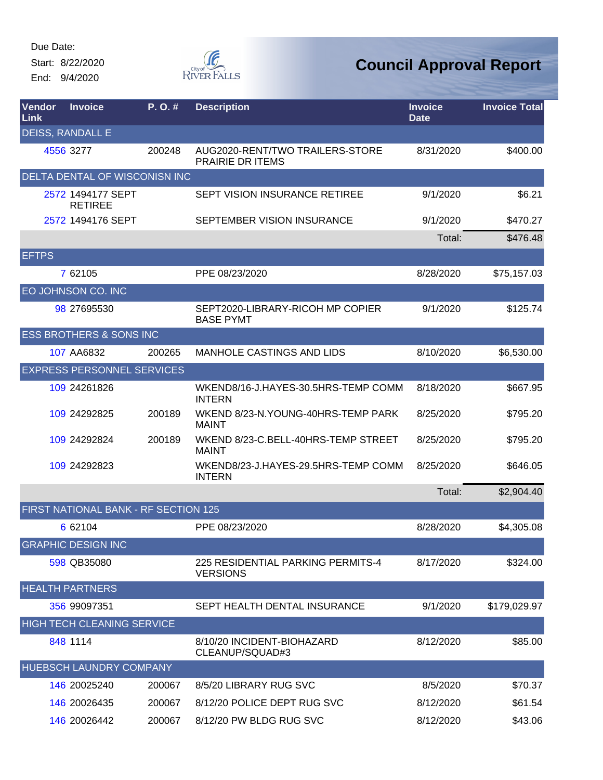Start: 8/22/2020 End: 9/4/2020



| Vendor<br><b>Link</b> | <b>Invoice</b>                       | P. O. # | <b>Description</b>                                   | <b>Invoice</b><br><b>Date</b> | <b>Invoice Total</b> |
|-----------------------|--------------------------------------|---------|------------------------------------------------------|-------------------------------|----------------------|
|                       | DEISS, RANDALL E                     |         |                                                      |                               |                      |
|                       | 4556 3277                            | 200248  | AUG2020-RENT/TWO TRAILERS-STORE<br>PRAIRIE DR ITEMS  | 8/31/2020                     | \$400.00             |
|                       | DELTA DENTAL OF WISCONISN INC        |         |                                                      |                               |                      |
|                       | 2572 1494177 SEPT<br><b>RETIREE</b>  |         | <b>SEPT VISION INSURANCE RETIREE</b>                 | 9/1/2020                      | \$6.21               |
|                       | 2572 1494176 SEPT                    |         | SEPTEMBER VISION INSURANCE                           | 9/1/2020                      | \$470.27             |
|                       |                                      |         |                                                      | Total:                        | \$476.48             |
| <b>EFTPS</b>          |                                      |         |                                                      |                               |                      |
|                       | 7 62105                              |         | PPE 08/23/2020                                       | 8/28/2020                     | \$75,157.03          |
|                       | EO JOHNSON CO. INC                   |         |                                                      |                               |                      |
|                       | 98 27695530                          |         | SEPT2020-LIBRARY-RICOH MP COPIER<br><b>BASE PYMT</b> | 9/1/2020                      | \$125.74             |
|                       | <b>ESS BROTHERS &amp; SONS INC</b>   |         |                                                      |                               |                      |
|                       | 107 AA6832                           | 200265  | <b>MANHOLE CASTINGS AND LIDS</b>                     | 8/10/2020                     | \$6,530.00           |
|                       | <b>EXPRESS PERSONNEL SERVICES</b>    |         |                                                      |                               |                      |
|                       | 109 24261826                         |         | WKEND8/16-J.HAYES-30.5HRS-TEMP COMM<br><b>INTERN</b> | 8/18/2020                     | \$667.95             |
|                       | 109 24292825                         | 200189  | WKEND 8/23-N.YOUNG-40HRS-TEMP PARK<br><b>MAINT</b>   | 8/25/2020                     | \$795.20             |
|                       | 109 24292824                         | 200189  | WKEND 8/23-C.BELL-40HRS-TEMP STREET<br><b>MAINT</b>  | 8/25/2020                     | \$795.20             |
|                       | 109 24292823                         |         | WKEND8/23-J.HAYES-29.5HRS-TEMP COMM<br><b>INTERN</b> | 8/25/2020                     | \$646.05             |
|                       |                                      |         |                                                      | Total:                        | \$2,904.40           |
|                       | FIRST NATIONAL BANK - RF SECTION 125 |         |                                                      |                               |                      |
|                       | 6 62104                              |         | PPE 08/23/2020                                       | 8/28/2020                     | \$4,305.08           |
|                       | <b>GRAPHIC DESIGN INC</b>            |         |                                                      |                               |                      |
|                       | 598 QB35080                          |         | 225 RESIDENTIAL PARKING PERMITS-4<br><b>VERSIONS</b> | 8/17/2020                     | \$324.00             |
|                       | <b>HEALTH PARTNERS</b>               |         |                                                      |                               |                      |
|                       | 356 99097351                         |         | SEPT HEALTH DENTAL INSURANCE                         | 9/1/2020                      | \$179,029.97         |
|                       | <b>HIGH TECH CLEANING SERVICE</b>    |         |                                                      |                               |                      |
|                       | 848 1114                             |         | 8/10/20 INCIDENT-BIOHAZARD<br>CLEANUP/SQUAD#3        | 8/12/2020                     | \$85.00              |
|                       | HUEBSCH LAUNDRY COMPANY              |         |                                                      |                               |                      |
|                       | 146 20025240                         | 200067  | 8/5/20 LIBRARY RUG SVC                               | 8/5/2020                      | \$70.37              |
|                       | 146 20026435                         | 200067  | 8/12/20 POLICE DEPT RUG SVC                          | 8/12/2020                     | \$61.54              |
|                       | 146 20026442                         | 200067  | 8/12/20 PW BLDG RUG SVC                              | 8/12/2020                     | \$43.06              |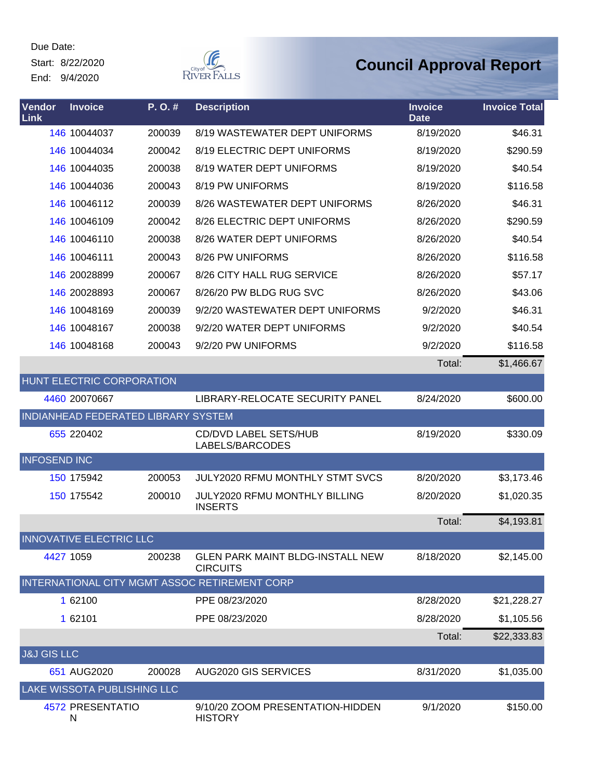Start: 8/22/2020 End: 9/4/2020



| Vendor<br><b>Link</b>  | <b>Invoice</b>                   | P.O.#                               | <b>Description</b>                                         | <b>Invoice</b><br><b>Date</b> | <b>Invoice Total</b> |
|------------------------|----------------------------------|-------------------------------------|------------------------------------------------------------|-------------------------------|----------------------|
|                        | 146 10044037                     | 200039                              | 8/19 WASTEWATER DEPT UNIFORMS                              | 8/19/2020                     | \$46.31              |
|                        | 146 10044034                     | 200042                              | 8/19 ELECTRIC DEPT UNIFORMS                                | 8/19/2020                     | \$290.59             |
|                        | 146 10044035                     | 200038                              | 8/19 WATER DEPT UNIFORMS                                   | 8/19/2020                     | \$40.54              |
|                        | 146 10044036                     | 200043                              | 8/19 PW UNIFORMS                                           | 8/19/2020                     | \$116.58             |
|                        | 146 10046112                     | 200039                              | 8/26 WASTEWATER DEPT UNIFORMS                              | 8/26/2020                     | \$46.31              |
|                        | 146 10046109                     | 200042                              | 8/26 ELECTRIC DEPT UNIFORMS                                | 8/26/2020                     | \$290.59             |
|                        | 146 10046110                     | 200038                              | 8/26 WATER DEPT UNIFORMS                                   | 8/26/2020                     | \$40.54              |
|                        | 146 10046111                     | 200043                              | 8/26 PW UNIFORMS                                           | 8/26/2020                     | \$116.58             |
|                        | 146 20028899                     | 200067                              | 8/26 CITY HALL RUG SERVICE                                 | 8/26/2020                     | \$57.17              |
|                        | 146 20028893                     | 200067                              | 8/26/20 PW BLDG RUG SVC                                    | 8/26/2020                     | \$43.06              |
|                        | 146 10048169                     | 200039                              | 9/2/20 WASTEWATER DEPT UNIFORMS                            | 9/2/2020                      | \$46.31              |
|                        | 146 10048167                     | 200038                              | 9/2/20 WATER DEPT UNIFORMS                                 | 9/2/2020                      | \$40.54              |
|                        | 146 10048168                     | 200043                              | 9/2/20 PW UNIFORMS                                         | 9/2/2020                      | \$116.58             |
|                        |                                  |                                     |                                                            | Total:                        | \$1,466.67           |
|                        | <b>HUNT ELECTRIC CORPORATION</b> |                                     |                                                            |                               |                      |
|                        | 4460 20070667                    |                                     | LIBRARY-RELOCATE SECURITY PANEL                            | 8/24/2020                     | \$600.00             |
|                        |                                  | INDIANHEAD FEDERATED LIBRARY SYSTEM |                                                            |                               |                      |
|                        | 655 220402                       |                                     | <b>CD/DVD LABEL SETS/HUB</b><br>LABELS/BARCODES            | 8/19/2020                     | \$330.09             |
| <b>INFOSEND INC</b>    |                                  |                                     |                                                            |                               |                      |
|                        | 150 175942                       | 200053                              | JULY2020 RFMU MONTHLY STMT SVCS                            | 8/20/2020                     | \$3,173.46           |
|                        | 150 175542                       | 200010                              | JULY2020 RFMU MONTHLY BILLING<br><b>INSERTS</b>            | 8/20/2020                     | \$1,020.35           |
|                        |                                  |                                     |                                                            | Total:                        | \$4,193.81           |
|                        | <b>INNOVATIVE ELECTRIC LLC</b>   |                                     |                                                            |                               |                      |
| 4427 1059              |                                  | 200238                              | <b>GLEN PARK MAINT BLDG-INSTALL NEW</b><br><b>CIRCUITS</b> | 8/18/2020                     | \$2,145.00           |
|                        |                                  |                                     | INTERNATIONAL CITY MGMT ASSOC RETIREMENT CORP              |                               |                      |
|                        | 1 62100                          |                                     | PPE 08/23/2020                                             | 8/28/2020                     | \$21,228.27          |
|                        | 1 62101                          |                                     | PPE 08/23/2020                                             | 8/28/2020                     | \$1,105.56           |
|                        |                                  |                                     |                                                            | Total:                        | \$22,333.83          |
| <b>J&amp;J GIS LLC</b> |                                  |                                     |                                                            |                               |                      |
|                        | 651 AUG2020                      | 200028                              | AUG2020 GIS SERVICES                                       | 8/31/2020                     | \$1,035.00           |
|                        | LAKE WISSOTA PUBLISHING LLC      |                                     |                                                            |                               |                      |
|                        | 4572 PRESENTATIO<br>N            |                                     | 9/10/20 ZOOM PRESENTATION-HIDDEN<br><b>HISTORY</b>         | 9/1/2020                      | \$150.00             |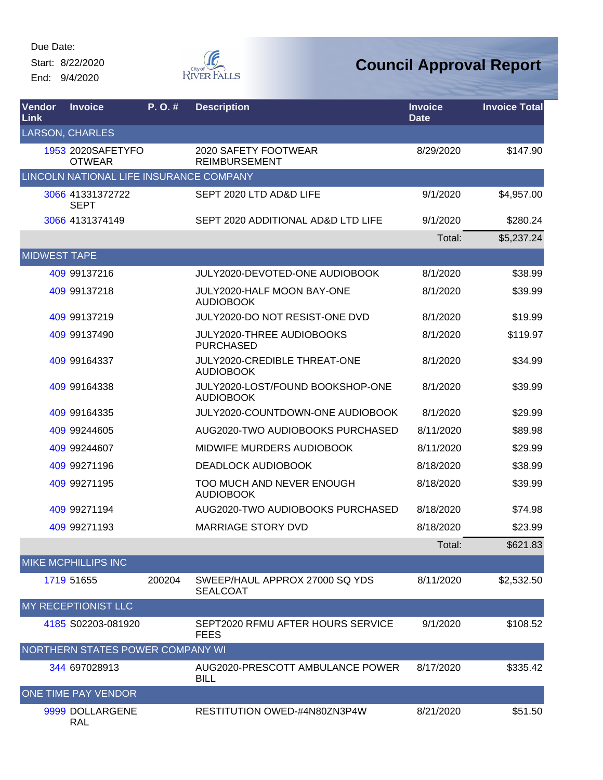Start: 8/22/2020 End: 9/4/2020



# **Council Approval Report**

| Vendor<br>Link      | <b>Invoice</b>                          | P.O.#  | <b>Description</b>                                   | <b>Invoice</b><br><b>Date</b> | <b>Invoice Total</b> |
|---------------------|-----------------------------------------|--------|------------------------------------------------------|-------------------------------|----------------------|
|                     | <b>LARSON, CHARLES</b>                  |        |                                                      |                               |                      |
|                     | 1953 2020SAFETYFO<br><b>OTWEAR</b>      |        | 2020 SAFETY FOOTWEAR<br><b>REIMBURSEMENT</b>         | 8/29/2020                     | \$147.90             |
|                     | LINCOLN NATIONAL LIFE INSURANCE COMPANY |        |                                                      |                               |                      |
|                     | 3066 41331372722<br><b>SEPT</b>         |        | SEPT 2020 LTD AD&D LIFE                              | 9/1/2020                      | \$4,957.00           |
|                     | 3066 4131374149                         |        | SEPT 2020 ADDITIONAL AD&D LTD LIFE                   | 9/1/2020                      | \$280.24             |
|                     |                                         |        |                                                      | Total:                        | \$5,237.24           |
| <b>MIDWEST TAPE</b> |                                         |        |                                                      |                               |                      |
|                     | 409 99137216                            |        | JULY2020-DEVOTED-ONE AUDIOBOOK                       | 8/1/2020                      | \$38.99              |
|                     | 409 99137218                            |        | JULY2020-HALF MOON BAY-ONE<br><b>AUDIOBOOK</b>       | 8/1/2020                      | \$39.99              |
|                     | 409 99137219                            |        | JULY2020-DO NOT RESIST-ONE DVD                       | 8/1/2020                      | \$19.99              |
|                     | 409 99137490                            |        | JULY2020-THREE AUDIOBOOKS<br><b>PURCHASED</b>        | 8/1/2020                      | \$119.97             |
|                     | 409 99164337                            |        | JULY2020-CREDIBLE THREAT-ONE<br><b>AUDIOBOOK</b>     | 8/1/2020                      | \$34.99              |
|                     | 409 99164338                            |        | JULY2020-LOST/FOUND BOOKSHOP-ONE<br><b>AUDIOBOOK</b> | 8/1/2020                      | \$39.99              |
|                     | 409 99164335                            |        | JULY2020-COUNTDOWN-ONE AUDIOBOOK                     | 8/1/2020                      | \$29.99              |
|                     | 409 99244605                            |        | AUG2020-TWO AUDIOBOOKS PURCHASED                     | 8/11/2020                     | \$89.98              |
|                     | 409 99244607                            |        | MIDWIFE MURDERS AUDIOBOOK                            | 8/11/2020                     | \$29.99              |
|                     | 409 99271196                            |        | <b>DEADLOCK AUDIOBOOK</b>                            | 8/18/2020                     | \$38.99              |
|                     | 409 99271195                            |        | TOO MUCH AND NEVER ENOUGH<br><b>AUDIOBOOK</b>        | 8/18/2020                     | \$39.99              |
|                     | 409 99271194                            |        | AUG2020-TWO AUDIOBOOKS PURCHASED                     | 8/18/2020                     | \$74.98              |
|                     | 409 99271193                            |        | <b>MARRIAGE STORY DVD</b>                            | 8/18/2020                     | \$23.99              |
|                     |                                         |        |                                                      | Total:                        | \$621.83             |
|                     | <b>MIKE MCPHILLIPS INC</b>              |        |                                                      |                               |                      |
|                     | 1719 51655                              | 200204 | SWEEP/HAUL APPROX 27000 SQ YDS<br><b>SEALCOAT</b>    | 8/11/2020                     | \$2,532.50           |
|                     | MY RECEPTIONIST LLC                     |        |                                                      |                               |                      |
|                     | 4185 S02203-081920                      |        | SEPT2020 RFMU AFTER HOURS SERVICE<br><b>FEES</b>     | 9/1/2020                      | \$108.52             |
|                     | NORTHERN STATES POWER COMPANY WI        |        |                                                      |                               |                      |
|                     | 344 697028913                           |        | AUG2020-PRESCOTT AMBULANCE POWER<br><b>BILL</b>      | 8/17/2020                     | \$335.42             |
|                     | <b>ONE TIME PAY VENDOR</b>              |        |                                                      |                               |                      |
|                     | 9999 DOLLARGENE                         |        | RESTITUTION OWED-#4N80ZN3P4W                         | 8/21/2020                     | \$51.50              |

RAL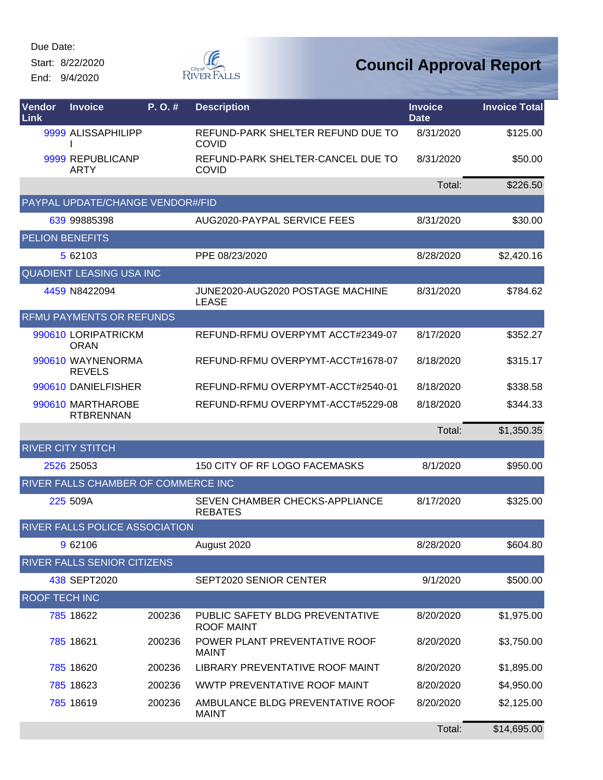Start: 8/22/2020 End: 9/4/2020



| Vendor<br>Link       | <b>Invoice</b>                        | P. O.# | <b>Description</b>                                   | <b>Invoice</b><br><b>Date</b> | <b>Invoice Total</b> |
|----------------------|---------------------------------------|--------|------------------------------------------------------|-------------------------------|----------------------|
|                      | 9999 ALISSAPHILIPP                    |        | REFUND-PARK SHELTER REFUND DUE TO<br><b>COVID</b>    | 8/31/2020                     | \$125.00             |
|                      | 9999 REPUBLICANP<br><b>ARTY</b>       |        | REFUND-PARK SHELTER-CANCEL DUE TO<br>COVID           | 8/31/2020                     | \$50.00              |
|                      |                                       |        |                                                      | Total:                        | \$226.50             |
|                      | PAYPAL UPDATE/CHANGE VENDOR#/FID      |        |                                                      |                               |                      |
|                      | 639 99885398                          |        | AUG2020-PAYPAL SERVICE FEES                          | 8/31/2020                     | \$30.00              |
|                      | <b>PELION BENEFITS</b>                |        |                                                      |                               |                      |
|                      | 5 62103                               |        | PPE 08/23/2020                                       | 8/28/2020                     | \$2,420.16           |
|                      | <b>QUADIENT LEASING USA INC</b>       |        |                                                      |                               |                      |
|                      | 4459 N8422094                         |        | JUNE2020-AUG2020 POSTAGE MACHINE<br><b>LEASE</b>     | 8/31/2020                     | \$784.62             |
|                      | <b>RFMU PAYMENTS OR REFUNDS</b>       |        |                                                      |                               |                      |
|                      | 990610 LORIPATRICKM<br><b>ORAN</b>    |        | REFUND-RFMU OVERPYMT ACCT#2349-07                    | 8/17/2020                     | \$352.27             |
|                      | 990610 WAYNENORMA<br><b>REVELS</b>    |        | REFUND-RFMU OVERPYMT-ACCT#1678-07                    | 8/18/2020                     | \$315.17             |
|                      | 990610 DANIELFISHER                   |        | REFUND-RFMU OVERPYMT-ACCT#2540-01                    | 8/18/2020                     | \$338.58             |
|                      | 990610 MARTHAROBE<br><b>RTBRENNAN</b> |        | REFUND-RFMU OVERPYMT-ACCT#5229-08                    | 8/18/2020                     | \$344.33             |
|                      |                                       |        |                                                      | Total:                        | \$1,350.35           |
|                      | <b>RIVER CITY STITCH</b>              |        |                                                      |                               |                      |
|                      | 2526 25053                            |        | 150 CITY OF RF LOGO FACEMASKS                        | 8/1/2020                      | \$950.00             |
|                      | RIVER FALLS CHAMBER OF COMMERCE INC   |        |                                                      |                               |                      |
|                      | 225 509A                              |        | SEVEN CHAMBER CHECKS-APPLIANCE<br><b>REBATES</b>     | 8/17/2020                     | \$325.00             |
|                      | <b>RIVER FALLS POLICE ASSOCIATION</b> |        |                                                      |                               |                      |
|                      | 9 62106                               |        | August 2020                                          | 8/28/2020                     | \$604.80             |
|                      | RIVER FALLS SENIOR CITIZENS           |        |                                                      |                               |                      |
|                      | 438 SEPT2020                          |        | SEPT2020 SENIOR CENTER                               | 9/1/2020                      | \$500.00             |
| <b>ROOF TECH INC</b> |                                       |        |                                                      |                               |                      |
|                      | 785 18622                             | 200236 | PUBLIC SAFETY BLDG PREVENTATIVE<br><b>ROOF MAINT</b> | 8/20/2020                     | \$1,975.00           |
|                      | 785 18621                             | 200236 | POWER PLANT PREVENTATIVE ROOF<br><b>MAINT</b>        | 8/20/2020                     | \$3,750.00           |
|                      | 785 18620                             | 200236 | LIBRARY PREVENTATIVE ROOF MAINT                      | 8/20/2020                     | \$1,895.00           |
|                      | 785 18623                             | 200236 | WWTP PREVENTATIVE ROOF MAINT                         | 8/20/2020                     | \$4,950.00           |
|                      | 785 18619                             | 200236 | AMBULANCE BLDG PREVENTATIVE ROOF<br><b>MAINT</b>     | 8/20/2020                     | \$2,125.00           |
|                      |                                       |        |                                                      | Total:                        | \$14,695.00          |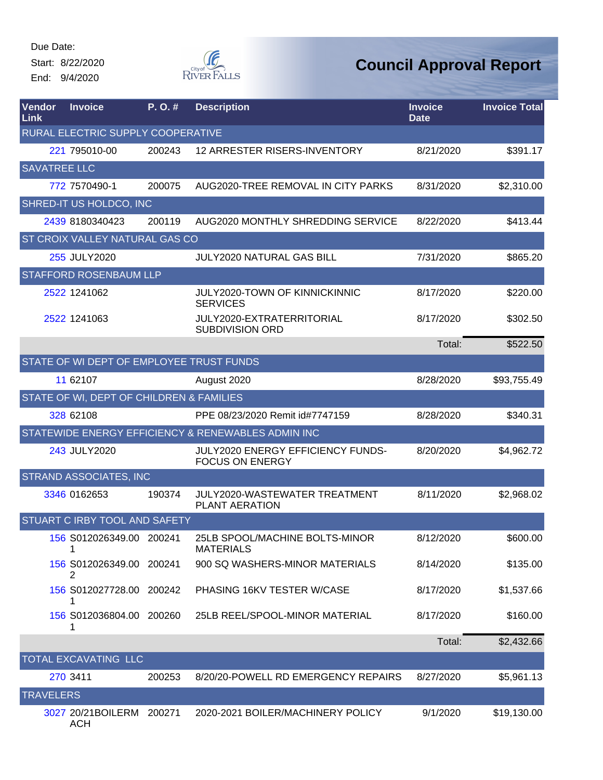Start: 8/22/2020 End: 9/4/2020



| Vendor<br>Link      | <b>Invoice</b>                           | P. O.# | <b>Description</b>                                          | <b>Invoice</b><br><b>Date</b> | <b>Invoice Total</b> |
|---------------------|------------------------------------------|--------|-------------------------------------------------------------|-------------------------------|----------------------|
|                     | RURAL ELECTRIC SUPPLY COOPERATIVE        |        |                                                             |                               |                      |
|                     | 221 795010-00                            | 200243 | 12 ARRESTER RISERS-INVENTORY                                | 8/21/2020                     | \$391.17             |
| <b>SAVATREE LLC</b> |                                          |        |                                                             |                               |                      |
|                     | 772 7570490-1                            | 200075 | AUG2020-TREE REMOVAL IN CITY PARKS                          | 8/31/2020                     | \$2,310.00           |
|                     | SHRED-IT US HOLDCO, INC                  |        |                                                             |                               |                      |
|                     | 2439 8180340423                          | 200119 | AUG2020 MONTHLY SHREDDING SERVICE                           | 8/22/2020                     | \$413.44             |
|                     | <b>ST CROIX VALLEY NATURAL GAS CO</b>    |        |                                                             |                               |                      |
|                     | 255 JULY2020                             |        | <b>JULY2020 NATURAL GAS BILL</b>                            | 7/31/2020                     | \$865.20             |
|                     | <b>STAFFORD ROSENBAUM LLP</b>            |        |                                                             |                               |                      |
|                     | 2522 1241062                             |        | JULY2020-TOWN OF KINNICKINNIC<br><b>SERVICES</b>            | 8/17/2020                     | \$220.00             |
|                     | 2522 1241063                             |        | JULY2020-EXTRATERRITORIAL<br><b>SUBDIVISION ORD</b>         | 8/17/2020                     | \$302.50             |
|                     |                                          |        |                                                             | Total:                        | \$522.50             |
|                     | STATE OF WI DEPT OF EMPLOYEE TRUST FUNDS |        |                                                             |                               |                      |
|                     | 11 62107                                 |        | August 2020                                                 | 8/28/2020                     | \$93,755.49          |
|                     | STATE OF WI, DEPT OF CHILDREN & FAMILIES |        |                                                             |                               |                      |
|                     | 328 62108                                |        | PPE 08/23/2020 Remit id#7747159                             | 8/28/2020                     | \$340.31             |
|                     |                                          |        | STATEWIDE ENERGY EFFICIENCY & RENEWABLES ADMIN INC          |                               |                      |
|                     | 243 JULY2020                             |        | JULY2020 ENERGY EFFICIENCY FUNDS-<br><b>FOCUS ON ENERGY</b> | 8/20/2020                     | \$4,962.72           |
|                     | <b>STRAND ASSOCIATES, INC</b>            |        |                                                             |                               |                      |
|                     | 3346 0162653                             | 190374 | JULY2020-WASTEWATER TREATMENT<br><b>PLANT AERATION</b>      | 8/11/2020                     | \$2,968.02           |
|                     | STUART C IRBY TOOL AND SAFETY            |        |                                                             |                               |                      |
|                     | 156 S012026349.00 200241<br>1            |        | 25LB SPOOL/MACHINE BOLTS-MINOR<br><b>MATERIALS</b>          | 8/12/2020                     | \$600.00             |
|                     | 156 S012026349.00 200241<br>2            |        | 900 SQ WASHERS-MINOR MATERIALS                              | 8/14/2020                     | \$135.00             |
|                     | 156 S012027728.00 200242<br>1            |        | PHASING 16KV TESTER W/CASE                                  | 8/17/2020                     | \$1,537.66           |
|                     | 156 S012036804.00 200260<br>1            |        | 25LB REEL/SPOOL-MINOR MATERIAL                              | 8/17/2020                     | \$160.00             |
|                     |                                          |        |                                                             | Total:                        | \$2,432.66           |
|                     | TOTAL EXCAVATING LLC                     |        |                                                             |                               |                      |
|                     | 270 3411                                 | 200253 | 8/20/20-POWELL RD EMERGENCY REPAIRS                         | 8/27/2020                     | \$5,961.13           |
| <b>TRAVELERS</b>    |                                          |        |                                                             |                               |                      |
|                     | 3027 20/21BOILERM 200271<br><b>ACH</b>   |        | 2020-2021 BOILER/MACHINERY POLICY                           | 9/1/2020                      | \$19,130.00          |